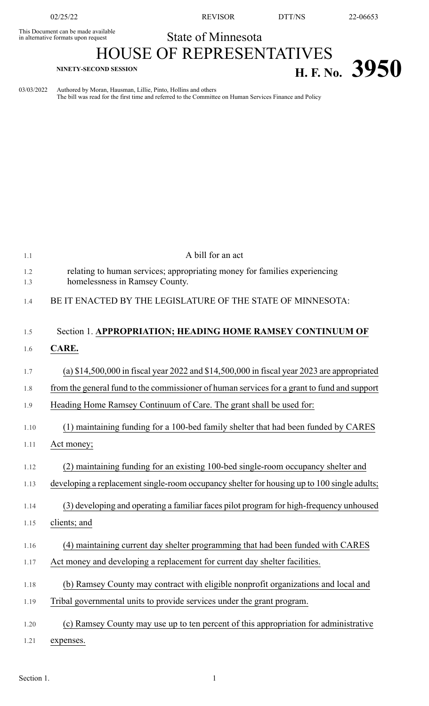This Document can be made available<br>in alternative formats upon request

02/25/22 REVISOR DTT/NS 22-06653

## State of Minnesota

## HOUSE OF REPRESENTATIVES **H. F. NO. 3950 H. F. No. 3950**

03/03/2022 Authored by Moran, Hausman, Lillie, Pinto, Hollins and others The bill was read for the first time and referred to the Committee on Human Services Finance and Policy

| 1.1        | A bill for an act                                                                                           |
|------------|-------------------------------------------------------------------------------------------------------------|
| 1.2<br>1.3 | relating to human services; appropriating money for families experiencing<br>homelessness in Ramsey County. |
| 1.4        | BE IT ENACTED BY THE LEGISLATURE OF THE STATE OF MINNESOTA:                                                 |
| 1.5        | Section 1. APPROPRIATION; HEADING HOME RAMSEY CONTINUUM OF                                                  |
| 1.6        | CARE.                                                                                                       |
| 1.7        | (a) $$14,500,000$ in fiscal year 2022 and $$14,500,000$ in fiscal year 2023 are appropriated                |
| 1.8        | from the general fund to the commissioner of human services for a grant to fund and support                 |
| 1.9        | Heading Home Ramsey Continuum of Care. The grant shall be used for:                                         |
| 1.10       | (1) maintaining funding for a 100-bed family shelter that had been funded by CARES                          |
| 1.11       | Act money;                                                                                                  |
| 1.12       | (2) maintaining funding for an existing 100-bed single-room occupancy shelter and                           |
| 1.13       | developing a replacement single-room occupancy shelter for housing up to 100 single adults;                 |
| 1.14       | (3) developing and operating a familiar faces pilot program for high-frequency unhoused                     |
| 1.15       | clients; and                                                                                                |
| 1.16       | (4) maintaining current day shelter programming that had been funded with CARES                             |
| 1.17       | Act money and developing a replacement for current day shelter facilities.                                  |
| 1.18       | (b) Ramsey County may contract with eligible nonprofit organizations and local and                          |
| 1.19       | Tribal governmental units to provide services under the grant program.                                      |
| 1.20       | (c) Ramsey County may use up to ten percent of this appropriation for administrative                        |
| 1.21       | expenses.                                                                                                   |